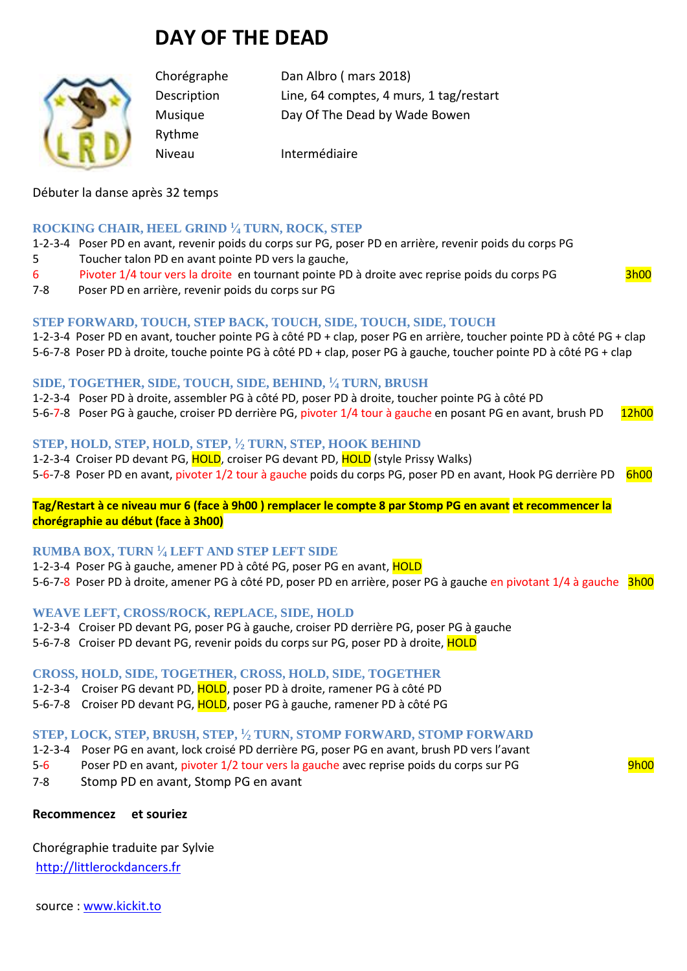# **DAY OF THE DEAD**



Rythme

Chorégraphe Dan Albro ( mars 2018) Description Line, 64 comptes, 4 murs, 1 tag/restart Musique Day Of The Dead by Wade Bowen

Niveau Intermédiaire

# Débuter la danse après 32 temps

#### **ROCKING CHAIR, HEEL GRIND <sup>1</sup> ⁄<sup>4</sup> TURN, ROCK, STEP**

1-2-3-4 Poser PD en avant, revenir poids du corps sur PG, poser PD en arrière, revenir poids du corps PG 5 Toucher talon PD en avant pointe PD vers la gauche,

- 6 Pivoter 1/4 tour vers la droite en tournant pointe PD à droite avec reprise poids du corps PG 3h00
- 7-8 Poser PD en arrière, revenir poids du corps sur PG

#### **STEP FORWARD, TOUCH, STEP BACK, TOUCH, SIDE, TOUCH, SIDE, TOUCH**

1-2-3-4 Poser PD en avant, toucher pointe PG à côté PD + clap, poser PG en arrière, toucher pointe PD à côté PG + clap 5-6-7-8 Poser PD à droite, touche pointe PG à côté PD + clap, poser PG à gauche, toucher pointe PD à côté PG + clap

#### **SIDE, TOGETHER, SIDE, TOUCH, SIDE, BEHIND, <sup>1</sup> ⁄<sup>4</sup> TURN, BRUSH**

1-2-3-4 Poser PD à droite, assembler PG à côté PD, poser PD à droite, toucher pointe PG à côté PD

5-6-7-8 Poser PG à gauche, croiser PD derrière PG, pivoter 1/4 tour à gauche en posant PG en avant, brush PD 12h00

### **STEP, HOLD, STEP, HOLD, STEP, <sup>1</sup> ⁄<sup>2</sup> TURN, STEP, HOOK BEHIND**

1-2-3-4 Croiser PD devant PG, HOLD, croiser PG devant PD, HOLD (style Prissy Walks) 5-6-7-8 Poser PD en avant, pivoter 1/2 tour à gauche poids du corps PG, poser PD en avant, Hook PG derrière PD 6h00

#### **Tag/Restart à ce niveau mur 6 (face à 9h00 ) remplacer le compte 8 par Stomp PG en avant et recommencer la chorégraphie au début (face à 3h00)**

#### **RUMBA BOX, TURN <sup>1</sup> ⁄<sup>4</sup> LEFT AND STEP LEFT SIDE**

1-2-3-4 Poser PG à gauche, amener PD à côté PG, poser PG en avant, HOLD 5-6-7-8 Poser PD à droite, amener PG à côté PD, poser PD en arrière, poser PG à gauche en pivotant 1/4 à gauche 3h00

#### **WEAVE LEFT, CROSS/ROCK, REPLACE, SIDE, HOLD**

- 1-2-3-4 Croiser PD devant PG, poser PG à gauche, croiser PD derrière PG, poser PG à gauche
- 5-6-7-8 Croiser PD devant PG, revenir poids du corps sur PG, poser PD à droite, HOLD

#### **CROSS, HOLD, SIDE, TOGETHER, CROSS, HOLD, SIDE, TOGETHER**

- 1-2-3-4 Croiser PG devant PD, HOLD, poser PD à droite, ramener PG à côté PD
- 5-6-7-8 Croiser PD devant PG, HOLD, poser PG à gauche, ramener PD à côté PG

#### **STEP, LOCK, STEP, BRUSH, STEP, <sup>1</sup> ⁄<sup>2</sup> TURN, STOMP FORWARD, STOMP FORWARD**

- 1-2-3-4 Poser PG en avant, lock croisé PD derrière PG, poser PG en avant, brush PD vers l'avant
- 5-6 Poser PD en avant, pivoter 1/2 tour vers la gauche avec reprise poids du corps sur PG 9h00
- 7-8 Stomp PD en avant, Stomp PG en avant

### **Recommencez et souriez**

Chorégraphie traduite par Sylvie [http://littlerockdancers.fr](http://littlerockdancers.fr/) 

source : [www.kickit.to](http://www.kickit.to/)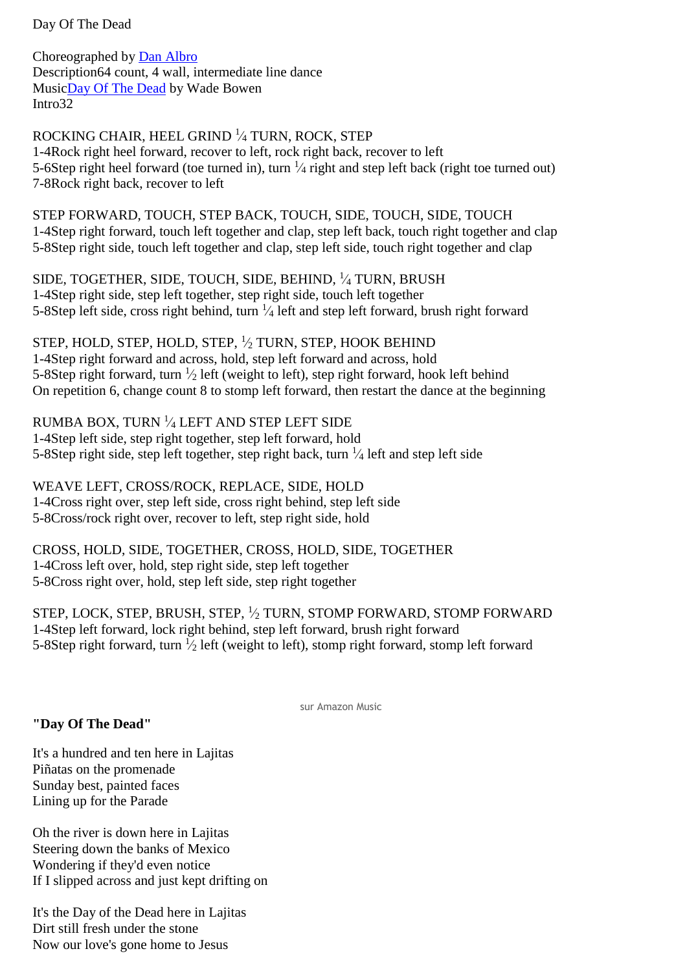Day Of The Dead

Choreographed by [Dan Albro](http://www.kickit.to/chor) Description64 count, 4 wall, intermediate line dance Musi[cDay Of The Dead](http://www.kickit.to/song) by Wade Bowen Intro32

ROCKING CHAIR, HEEL GRIND <sup>1</sup> ⁄<sup>4</sup> TURN, ROCK, STEP 1-4Rock right heel forward, recover to left, rock right back, recover to left 5-6Step right heel forward (toe turned in), turn  $\frac{1}{4}$  right and step left back (right toe turned out) 7-8Rock right back, recover to left

STEP FORWARD, TOUCH, STEP BACK, TOUCH, SIDE, TOUCH, SIDE, TOUCH 1-4Step right forward, touch left together and clap, step left back, touch right together and clap 5-8Step right side, touch left together and clap, step left side, touch right together and clap

SIDE, TOGETHER, SIDE, TOUCH, SIDE, BEHIND, <sup>1</sup> ⁄<sup>4</sup> TURN, BRUSH 1-4Step right side, step left together, step right side, touch left together 5-8Step left side, cross right behind, turn  $\frac{1}{4}$  left and step left forward, brush right forward

STEP, HOLD, STEP, HOLD, STEP, <sup>1</sup> ⁄<sup>2</sup> TURN, STEP, HOOK BEHIND 1-4Step right forward and across, hold, step left forward and across, hold 5-8Step right forward, turn  $\frac{1}{2}$  left (weight to left), step right forward, hook left behind On repetition 6, change count 8 to stomp left forward, then restart the dance at the beginning

RUMBA BOX, TURN  $\frac{1}{4}$  LEFT AND STEP LEFT SIDE 1-4Step left side, step right together, step left forward, hold 5-8Step right side, step left together, step right back, turn  $\frac{1}{4}$  left and step left side

WEAVE LEFT, CROSS/ROCK, REPLACE, SIDE, HOLD 1-4Cross right over, step left side, cross right behind, step left side 5-8Cross/rock right over, recover to left, step right side, hold

CROSS, HOLD, SIDE, TOGETHER, CROSS, HOLD, SIDE, TOGETHER 1-4Cross left over, hold, step right side, step left together 5-8Cross right over, hold, step left side, step right together

STEP, LOCK, STEP, BRUSH, STEP, <sup>1</sup> ⁄<sup>2</sup> TURN, STOMP FORWARD, STOMP FORWARD 1-4Step left forward, lock right behind, step left forward, brush right forward 5-8Step right forward, turn  $\frac{1}{2}$  left (weight to left), stomp right forward, stomp left forward

sur Amazon Music

## **"Day Of The Dead"**

It's a hundred and ten here in Lajitas Piñatas on the promenade Sunday best, painted faces Lining up for the Parade

Oh the river is down here in Lajitas Steering down the banks of Mexico Wondering if they'd even notice If I slipped across and just kept drifting on

It's the Day of the Dead here in Lajitas Dirt still fresh under the stone Now our love's gone home to Jesus